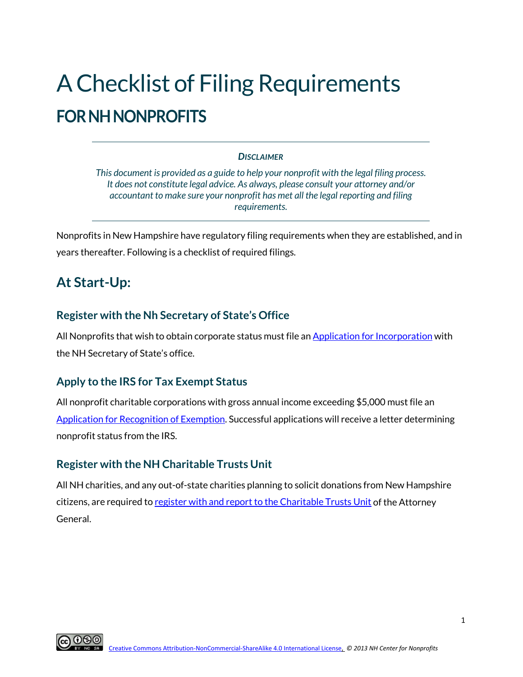# A Checklist of Filing Requirements **FOR NH NONPROFITS**

#### *DISCLAIMER*

*This document is provided as a guide to help your nonprofit with the legal filing process. It does not constitute legal advice. As always, please consult your attorney and/or accountant to make sure your nonprofit has met all the legal reporting and filing requirements.*

Nonprofits in New Hampshire have regulatory filing requirements when they are established, and in years thereafter. Following is a checklist of required filings.

# **At Start-Up:**

### **Register with the Nh Secretary of State's Office**

All Nonprofits that wish to obtain corporate status must file a[n Application for Incorporation](https://sos.nh.gov/corporation-ucc-securities/corporation/forms-and-fees/) with the NH Secretary of State's office.

### **Apply to the IRS for Tax Exempt Status**

All nonprofit charitable corporations with gross annual income exceeding \$5,000 must file an [Application for Recognition of Exemption.](https://www.irs.gov/charities-non-profits/application-for-recognition-of-exemption) Successful applications will receive a letter determining nonprofit status from the IRS.

#### **Register with the NH Charitable Trusts Unit**

All NH charities, and any out-of-state charities planning to solicit donations from New Hampshire citizens, are required t[o register with and report to the Charitable Trusts Unit](https://www.doj.nh.gov/charitable-trusts/) of the Attorney General.